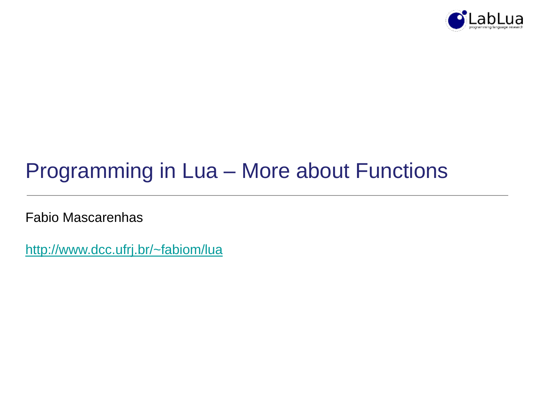

# Programming in Lua – More about Functions

Fabio Mascarenhas

<http://www.dcc.ufrj.br/~fabiom/lua>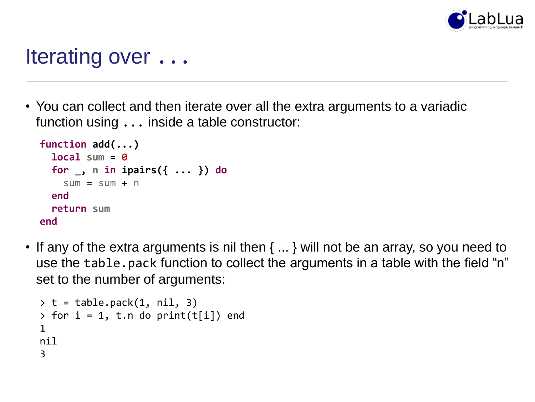

#### Iterating over ...

• You can collect and then iterate over all the extra arguments to a variadic function using ... inside a table constructor:

```
function add(...)
  local sum = 0
  for _, n in ipairs({ ... }) do
    sum = sum + nend
  return sum
end
```
• If any of the extra arguments is nil then { ... } will not be an array, so you need to use the table.pack function to collect the arguments in a table with the field "n" set to the number of arguments:

```
> t = table.pack(1, nil, 3)> for i = 1, t.n do print(t[i]) end
1
nil
3
```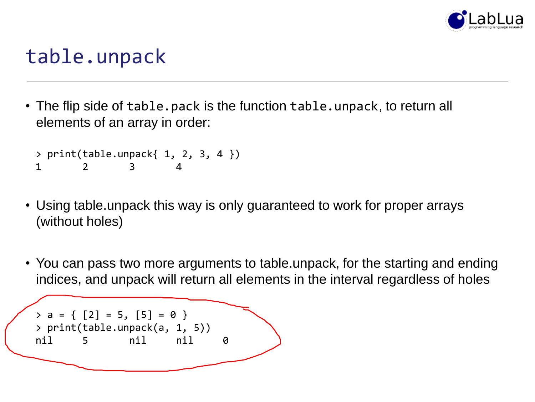

### table.unpack

• The flip side of table.pack is the function table.unpack, to return all elements of an array in order:

```
> print(table.unpack{ 1, 2, 3, 4 })
1 2 3 4
```
- Using table.unpack this way is only guaranteed to work for proper arrays (without holes)
- You can pass two more arguments to table.unpack, for the starting and ending indices, and unpack will return all elements in the interval regardless of holes

```
> a = \{ [2] = 5, [5] = 0 \}> print(table.unpack(a, 1, 5))
nil 5 nil nil 0
```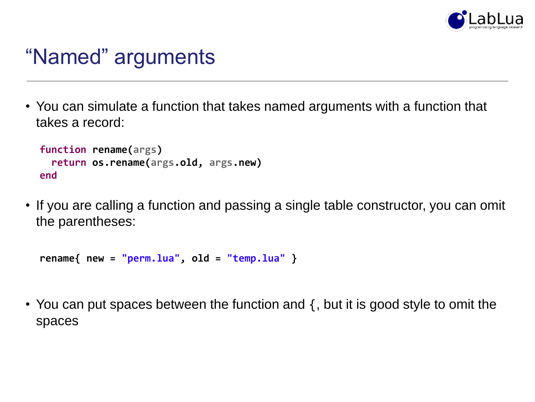

### "Named" arguments

• You can simulate a function that takes named arguments with a function that takes a record:

```
function rename(args)
 return os.rename(args.old, args.new)
end
```
• If you are calling a function and passing a single table constructor, you can omit the parentheses:

```
rename{ new = "perm.lua", old = "temp.lua" }
```
• You can put spaces between the function and {, but it is good style to omit the spaces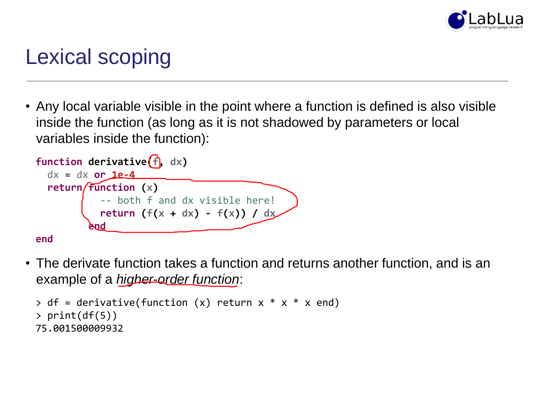

## Lexical scoping

• Any local variable visible in the point where a function is defined is also visible inside the function (as long as it is not shadowed by parameters or local variables inside the function):



• The derivate function takes a function and returns another function, and is an example of a *higher-order function*:

```
> df = derivative(function (x) return x * x * x end)> print(df(5))
75.001500009932
```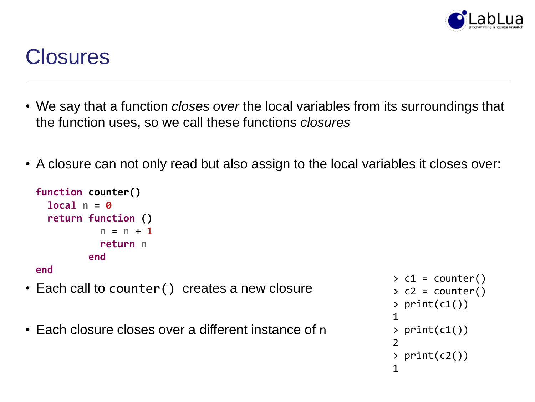

### **Closures**

- We say that a function *closes over* the local variables from its surroundings that the function uses, so we call these functions *closures*
- A closure can not only read but also assign to the local variables it closes over:

```
function counter()
  local n = 0
 return function ()
           n = n + 1return n
         end
end
```
- Each call to counter () creates a new closure
- Each closure closes over a different instance of n

```
> c1 = counter()> c2 = counter()> print(c1())
1
> print(c1())
2
> print(c2())
1
```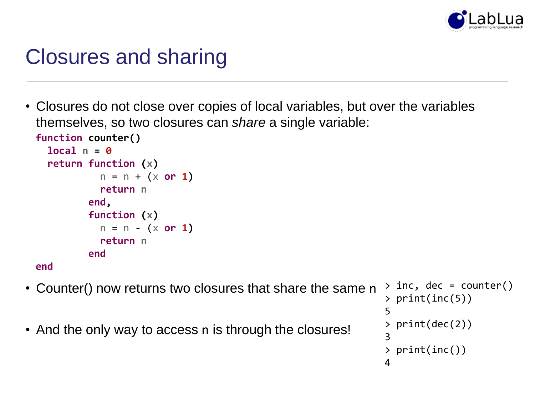

#### Closures and sharing

• Closures do not close over copies of local variables, but over the variables themselves, so two closures can *share* a single variable: **function counter()**

```
local n = 0
  return function (x)
           n = n + (x or 1)
           return n
         end,
         function (x)
           n = n - (x or 1)
           return n
         end
end
```
- Counter() now returns two closures that share the same n  $>$  inc, dec = counter()
- And the only way to access n is through the closures!

```
> print(inc(5))
5
> print(dec(2))
3
> print(inc())
4
```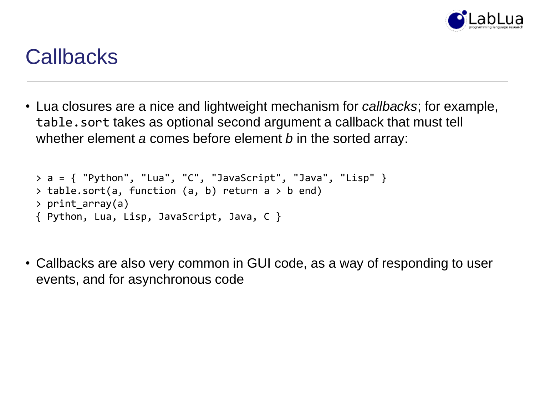

#### **Callbacks**

• Lua closures are a nice and lightweight mechanism for *callbacks*; for example, table.sort takes as optional second argument a callback that must tell whether element *a* comes before element *b* in the sorted array:

```
> a = \{ "Python", "Lua", "C", "JavaScript", "Java", "Lisp" }
> table.sort(a, function (a, b) return a > b end)
> print array(a)
{ Python, Lua, Lisp, JavaScript, Java, C }
```
• Callbacks are also very common in GUI code, as a way of responding to user events, and for asynchronous code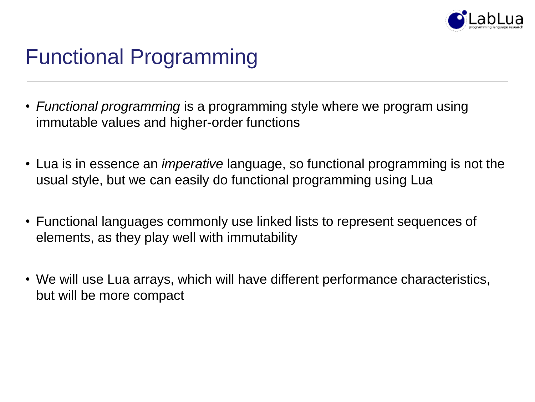

# Functional Programming

- *Functional programming* is a programming style where we program using immutable values and higher-order functions
- Lua is in essence an *imperative* language, so functional programming is not the usual style, but we can easily do functional programming using Lua
- Functional languages commonly use linked lists to represent sequences of elements, as they play well with immutability
- We will use Lua arrays, which will have different performance characteristics, but will be more compact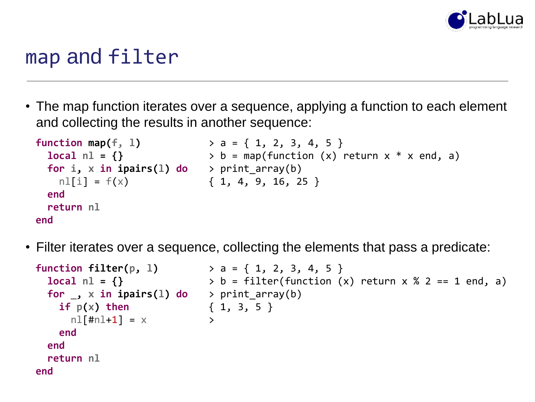

#### map and filter

• The map function iterates over a sequence, applying a function to each element and collecting the results in another sequence:

```
function map(f, l)
> a = { 1, 2, 3, 4, 5 }
 local n1 = \{\} > b = map(function (x) return x * x end, a)
 for i, x in ipairs(l) do
> print_array(b)
   nlfi] = f(x)end
 return nl
end
                       { 1, 4, 9, 16, 25 }
```
• Filter iterates over a sequence, collecting the elements that pass a predicate:

```
function filter(p, l)
> a = { 1, 2, 3, 4, 5 }
    local nl = {}
     for _, x in ipairs(l) do
> print_array(b)
         if p(x) then
              n!\;[ \, \text{m} \, \text{m} \, \text{m} \, \text{m} \, \text{m} \, \text{m} \, \text{m} \, \text{m} \, \text{m} \, \text{m} \, \text{m} \, \text{m} \, \text{m} \, \text{m} \, \text{m} \, \text{m} \, \text{m} \, \text{m} \, \text{m} \, \text{m} \, \text{m} \, \text{m} \, \text{m} \, \text{m} \, \text{m} \, \text{m} \, \text{m} \, \text{m} \, \text{m} \, \text{m} \, \text{mend
    end
    return nl
end
                                            > b = filter(function (x) return x % 2 == 1 end, a)
                                                                   { 1, 3, 5 }
                                                                         \sum
```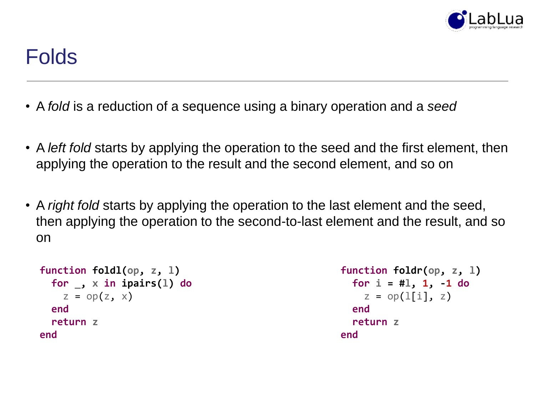

#### Folds

- A *fold* is a reduction of a sequence using a binary operation and a *seed*
- A *left fold* starts by applying the operation to the seed and the first element, then applying the operation to the result and the second element, and so on
- A *right fold* starts by applying the operation to the last element and the seed, then applying the operation to the second-to-last element and the result, and so on

```
function foldl(op, z, l)
  for _, x in ipairs(l) do
    z = op(z, x)end
 return z
end
```

```
function foldr(op, z, l)
  for i = #l, 1, -1 do
    z = op(1[i], z)end
 return z
end
```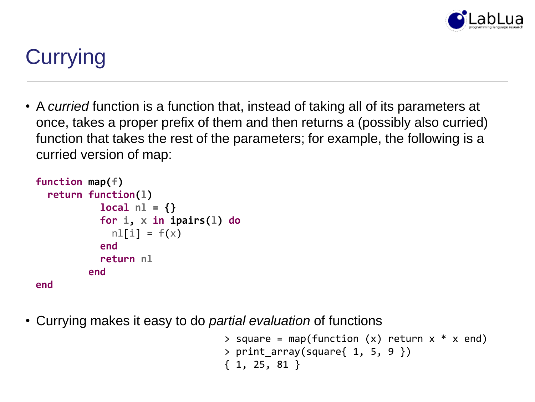

# **Currying**

• A *curried* function is a function that, instead of taking all of its parameters at once, takes a proper prefix of them and then returns a (possibly also curried) function that takes the rest of the parameters; for example, the following is a curried version of map:

```
function map(f)
  return function(l)
           local nl = {}
           for i, x in ipairs(l) do
             nIfi] = f(x)end
           return nl
         end
end
```
• Currying makes it easy to do *partial evaluation* of functions

```
> square = map(function (x) return x * x end)
> print array(square{ 1, 5, 9 })
{ 1, 25, 81 }
```